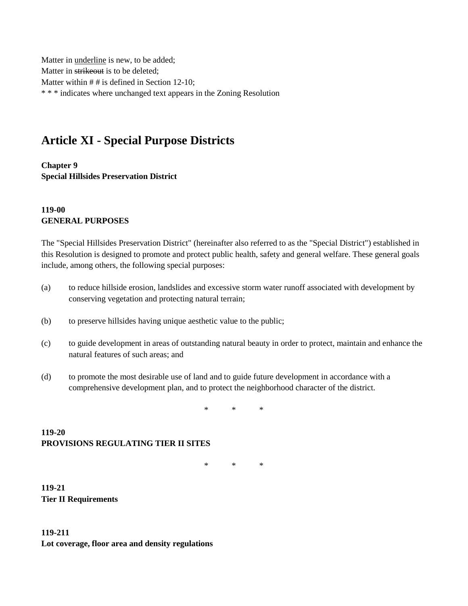Matter in underline is new, to be added; Matter in strikeout is to be deleted; Matter within # # is defined in Section 12-10; \* \* \* indicates where unchanged text appears in the Zoning Resolution

# **Article XI - Special Purpose Districts**

**Chapter 9 Special Hillsides Preservation District**

#### **119-00 GENERAL PURPOSES**

The "Special Hillsides Preservation District" (hereinafter also referred to as the "Special District") established in this Resolution is designed to promote and protect public health, safety and general welfare. These general goals include, among others, the following special purposes:

- (a) to reduce hillside erosion, landslides and excessive storm water runoff associated with development by conserving vegetation and protecting natural terrain;
- (b) to preserve hillsides having unique aesthetic value to the public;
- (c) to guide development in areas of outstanding natural beauty in order to protect, maintain and enhance the natural features of such areas; and
- (d) to promote the most desirable use of land and to guide future development in accordance with a comprehensive development plan, and to protect the neighborhood character of the district.

\* \* \*

## **119-20 PROVISIONS REGULATING TIER II SITES**

\* \* \*

**119-21 Tier II Requirements**

**119-211 Lot coverage, floor area and density regulations**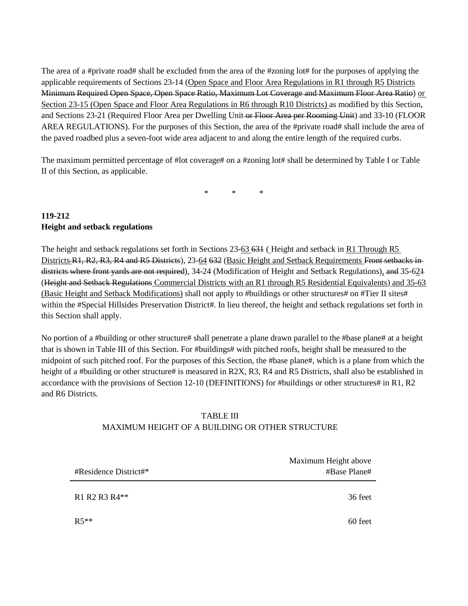The area of a #private road# shall be excluded from the area of the #zoning lot# for the purposes of applying the applicable requirements of Sections 23-14 (Open Space and Floor Area Regulations in R1 through R5 Districts Minimum Required Open Space, Open Space Ratio, Maximum Lot Coverage and Maximum Floor Area Ratio) or Section 23-15 (Open Space and Floor Area Regulations in R6 through R10 Districts) as modified by this Section, and Sections 23-21 (Required Floor Area per Dwelling Unit or Floor Area per Rooming Unit) and 33-10 (FLOOR AREA REGULATIONS). For the purposes of this Section, the area of the #private road# shall include the area of the paved roadbed plus a seven-foot wide area adjacent to and along the entire length of the required curbs.

The maximum permitted percentage of #lot coverage# on a #zoning lot# shall be determined by Table I or Table II of this Section, as applicable.

\* \* \*

### **119-212 Height and setback regulations**

The height and setback regulations set forth in Sections 23-63 631 (Height and setback in R1 Through R5 Districts R1, R2, R3, R4 and R5 Districts), 23-64 632 (Basic Height and Setback Requirements Front setbacks indistricts where front yards are not required), 34-24 (Modification of Height and Setback Regulations), and 35-62+ (Height and Setback Regulations Commercial Districts with an R1 through R5 Residential Equivalents) and 35-63 (Basic Height and Setback Modifications) shall not apply to #buildings or other structures# on #Tier II sites# within the #Special Hillsides Preservation District#. In lieu thereof, the height and setback regulations set forth in this Section shall apply.

No portion of a #building or other structure# shall penetrate a plane drawn parallel to the #base plane# at a height that is shown in Table III of this Section. For #buildings# with pitched roofs, height shall be measured to the midpoint of such pitched roof. For the purposes of this Section, the #base plane#, which is a plane from which the height of a #building or other structure# is measured in R2X, R3, R4 and R5 Districts, shall also be established in accordance with the provisions of Section 12-10 (DEFINITIONS) for #buildings or other structures# in R1, R2 and R6 Districts.

#### TABLE III MAXIMUM HEIGHT OF A BUILDING OR OTHER STRUCTURE

| #Residence District#* | Maximum Height above<br>#Base Plane# |
|-----------------------|--------------------------------------|
| R1 R2 R3 R4**         | 36 feet                              |
| $R5**$                | 60 feet                              |